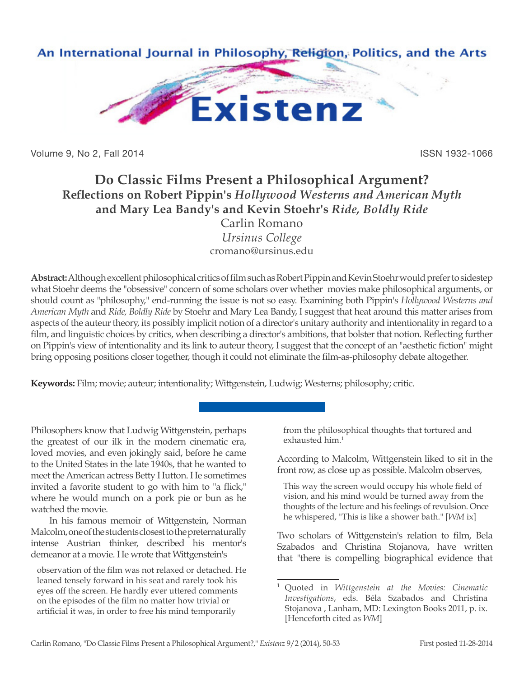

Volume 9, No 2, Fall 2014 **ISSN 1932-1066** 

## **Do Classic Films Present a Philosophical Argument? Reflections on Robert Pippin's** *Hollywood Westerns and American Myth* **and Mary Lea Bandy's and Kevin Stoehr's** *Ride, Boldly Ride*

Carlin Romano *Ursinus College* cromano@ursinus.edu

**Abstract:** Although excellent philosophical critics of film such as Robert Pippin and Kevin Stoehr would prefer to sidestep what Stoehr deems the "obsessive" concern of some scholars over whether movies make philosophical arguments, or should count as "philosophy," end-running the issue is not so easy. Examining both Pippin's *Hollywood Westerns and American Myth* and *Ride, Boldly Ride* by Stoehr and Mary Lea Bandy, I suggest that heat around this matter arises from aspects of the auteur theory, its possibly implicit notion of a director's unitary authority and intentionality in regard to a film, and linguistic choices by critics, when describing a director's ambitions, that bolster that notion. Reflecting further on Pippin's view of intentionality and its link to auteur theory, I suggest that the concept of an "aesthetic fiction" might bring opposing positions closer together, though it could not eliminate the film-as-philosophy debate altogether.

**Keywords:** Film; movie; auteur; intentionality; Wittgenstein, Ludwig; Westerns; philosophy; critic.

Philosophers know that Ludwig Wittgenstein, perhaps the greatest of our ilk in the modern cinematic era, loved movies, and even jokingly said, before he came to the United States in the late 1940s, that he wanted to meet the American actress Betty Hutton. He sometimes invited a favorite student to go with him to "a flick," where he would munch on a pork pie or bun as he watched the movie.

In his famous memoir of Wittgenstein, Norman Malcolm, one of the students closest to the preternaturally intense Austrian thinker, described his mentor's demeanor at a movie. He wrote that Wittgenstein's

observation of the film was not relaxed or detached. He leaned tensely forward in his seat and rarely took his eyes off the screen. He hardly ever uttered comments on the episodes of the film no matter how trivial or artificial it was, in order to free his mind temporarily

from the philosophical thoughts that tortured and exhausted him.<sup>1</sup>

According to Malcolm, Wittgenstein liked to sit in the front row, as close up as possible. Malcolm observes,

This way the screen would occupy his whole field of vision, and his mind would be turned away from the thoughts of the lecture and his feelings of revulsion. Once he whispered, "This is like a shower bath." [*WM* ix]

Two scholars of Wittgenstein's relation to film, Bela Szabados and Christina Stojanova, have written that "there is compelling biographical evidence that

<sup>1</sup> Quoted in *Wittgenstein at the Movies: Cinematic Investigations*, eds. Béla Szabados and Christina Stojanova , Lanham, MD: Lexington Books 2011, p. ix. [Henceforth cited as *WM*]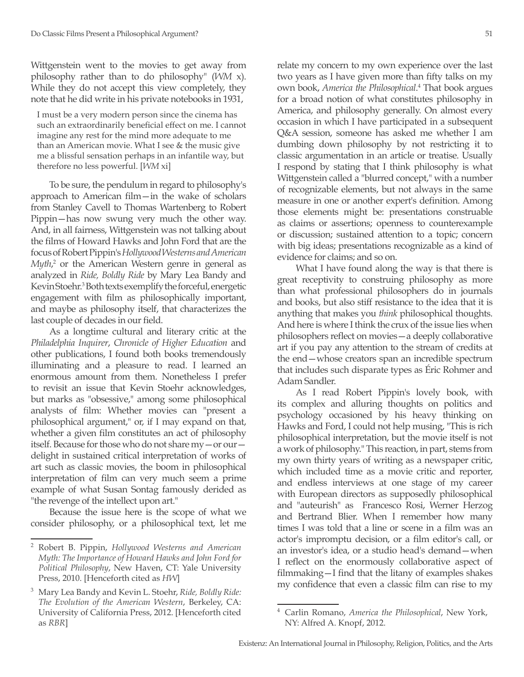Wittgenstein went to the movies to get away from philosophy rather than to do philosophy" (*WM* x). While they do not accept this view completely, they note that he did write in his private notebooks in 1931,

I must be a very modern person since the cinema has such an extraordinarily beneficial effect on me. I cannot imagine any rest for the mind more adequate to me than an American movie. What I see & the music give me a blissful sensation perhaps in an infantile way, but therefore no less powerful. [*WM* xi]

To be sure, the pendulum in regard to philosophy's approach to American film—in the wake of scholars from Stanley Cavell to Thomas Wartenberg to Robert Pippin—has now swung very much the other way. And, in all fairness, Wittgenstein was not talking about the films of Howard Hawks and John Ford that are the focus of Robert Pippin's *Hollywood Westerns and American*  Myth,<sup>2</sup> or the American Western genre in general as analyzed in *Ride, Boldly Ride* by Mary Lea Bandy and Kevin Stoehr.<sup>3</sup> Both texts exemplify the forceful, energetic engagement with film as philosophically important, and maybe as philosophy itself, that characterizes the last couple of decades in our field.

As a longtime cultural and literary critic at the *Philadelphia Inquirer*, *Chronicle of Higher Education* and other publications, I found both books tremendously illuminating and a pleasure to read. I learned an enormous amount from them. Nonetheless I prefer to revisit an issue that Kevin Stoehr acknowledges, but marks as "obsessive," among some philosophical analysts of film: Whether movies can "present a philosophical argument," or, if I may expand on that, whether a given film constitutes an act of philosophy itself. Because for those who do not share my—or our delight in sustained critical interpretation of works of art such as classic movies, the boom in philosophical interpretation of film can very much seem a prime example of what Susan Sontag famously derided as "the revenge of the intellect upon art."

Because the issue here is the scope of what we consider philosophy, or a philosophical text, let me relate my concern to my own experience over the last two years as I have given more than fifty talks on my own book, *America the Philosophical*. 4 That book argues for a broad notion of what constitutes philosophy in America, and philosophy generally. On almost every occasion in which I have participated in a subsequent Q&A session, someone has asked me whether I am dumbing down philosophy by not restricting it to classic argumentation in an article or treatise. Usually I respond by stating that I think philosophy is what Wittgenstein called a "blurred concept," with a number of recognizable elements, but not always in the same measure in one or another expert's definition. Among those elements might be: presentations construable as claims or assertions; openness to counterexample or discussion; sustained attention to a topic; concern with big ideas; presentations recognizable as a kind of evidence for claims; and so on.

What I have found along the way is that there is great receptivity to construing philosophy as more than what professional philosophers do in journals and books, but also stiff resistance to the idea that it is anything that makes you *think* philosophical thoughts. And here is where I think the crux of the issue lies when philosophers reflect on movies—a deeply collaborative art if you pay any attention to the stream of credits at the end—whose creators span an incredible spectrum that includes such disparate types as Éric Rohmer and Adam Sandler.

As I read Robert Pippin's lovely book, with its complex and alluring thoughts on politics and psychology occasioned by his heavy thinking on Hawks and Ford, I could not help musing, "This is rich philosophical interpretation, but the movie itself is not a work of philosophy." This reaction, in part, stems from my own thirty years of writing as a newspaper critic, which included time as a movie critic and reporter, and endless interviews at one stage of my career with European directors as supposedly philosophical and "auteurish" as Francesco Rosi, Werner Herzog and Bertrand Blier. When I remember how many times I was told that a line or scene in a film was an actor's impromptu decision, or a film editor's call, or an investor's idea, or a studio head's demand—when I reflect on the enormously collaborative aspect of filmmaking—I find that the litany of examples shakes my confidence that even a classic film can rise to my

<sup>2</sup> Robert B. Pippin, *Hollywood Westerns and American Myth: The Importance of Howard Hawks and John Ford for Political Philosophy*, New Haven, CT: Yale University Press, 2010. [Henceforth cited as *HW*]

<sup>3</sup> Mary Lea Bandy and Kevin L. Stoehr, *Ride, Boldly Ride: The Evolution of the American Western*, Berkeley, CA: University of California Press, 2012. [Henceforth cited as *RBR*]

<sup>4</sup> Carlin Romano, *America the Philosophical*, New York, NY: Alfred A. Knopf, 2012.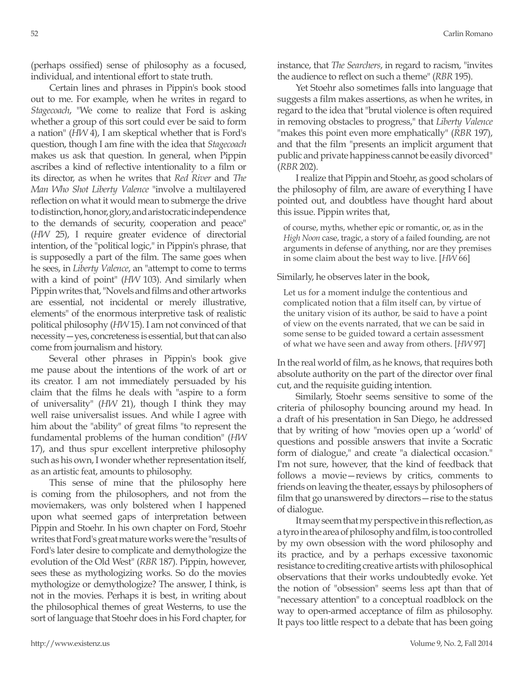(perhaps ossified) sense of philosophy as a focused, individual, and intentional effort to state truth.

Certain lines and phrases in Pippin's book stood out to me. For example, when he writes in regard to *Stagecoach*, "We come to realize that Ford is asking whether a group of this sort could ever be said to form a nation" (*HW* 4), I am skeptical whether that is Ford's question, though I am fine with the idea that *Stagecoach* makes us ask that question. In general, when Pippin ascribes a kind of reflective intentionality to a film or its director, as when he writes that *Red River* and *The Man Who Shot Liberty Valence* "involve a multilayered reflection on what it would mean to submerge the drive to distinction, honor, glory, and aristocratic independence to the demands of security, cooperation and peace" (*HW* 25), I require greater evidence of directorial intention, of the "political logic," in Pippin's phrase, that is supposedly a part of the film. The same goes when he sees, in *Liberty Valence*, an "attempt to come to terms with a kind of point" (*HW* 103). And similarly when Pippin writes that, "Novels and films and other artworks are essential, not incidental or merely illustrative, elements" of the enormous interpretive task of realistic political philosophy (*HW* 15). I am not convinced of that necessity—yes, concreteness is essential, but that can also come from journalism and history.

Several other phrases in Pippin's book give me pause about the intentions of the work of art or its creator. I am not immediately persuaded by his claim that the films he deals with "aspire to a form of universality" (*HW* 21), though I think they may well raise universalist issues. And while I agree with him about the "ability" of great films "to represent the fundamental problems of the human condition" (*HW* 17), and thus spur excellent interpretive philosophy such as his own, I wonder whether representation itself, as an artistic feat, amounts to philosophy.

This sense of mine that the philosophy here is coming from the philosophers, and not from the moviemakers, was only bolstered when I happened upon what seemed gaps of interpretation between Pippin and Stoehr. In his own chapter on Ford, Stoehr writes that Ford's great mature works were the "results of Ford's later desire to complicate and demythologize the evolution of the Old West" (*RBR* 187). Pippin, however, sees these as mythologizing works. So do the movies mythologize or demythologize? The answer, I think, is not in the movies. Perhaps it is best, in writing about the philosophical themes of great Westerns, to use the sort of language that Stoehr does in his Ford chapter, for instance, that *The Searchers*, in regard to racism, "invites the audience to reflect on such a theme" (*RBR* 195).

Yet Stoehr also sometimes falls into language that suggests a film makes assertions, as when he writes, in regard to the idea that "brutal violence is often required in removing obstacles to progress," that *Liberty Valence*  "makes this point even more emphatically" (*RBR* 197), and that the film "presents an implicit argument that public and private happiness cannot be easily divorced" (*RBR* 202).

I realize that Pippin and Stoehr, as good scholars of the philosophy of film, are aware of everything I have pointed out, and doubtless have thought hard about this issue. Pippin writes that,

of course, myths, whether epic or romantic, or, as in the *High Noon* case, tragic, a story of a failed founding, are not arguments in defense of anything, nor are they premises in some claim about the best way to live. [*HW* 66]

Similarly, he observes later in the book,

Let us for a moment indulge the contentious and complicated notion that a film itself can, by virtue of the unitary vision of its author, be said to have a point of view on the events narrated, that we can be said in some sense to be guided toward a certain assessment of what we have seen and away from others. [*HW* 97]

In the real world of film, as he knows, that requires both absolute authority on the part of the director over final cut, and the requisite guiding intention.

Similarly, Stoehr seems sensitive to some of the criteria of philosophy bouncing around my head. In a draft of his presentation in San Diego, he addressed that by writing of how "movies open up a 'world' of questions and possible answers that invite a Socratic form of dialogue," and create "a dialectical occasion." I'm not sure, however, that the kind of feedback that follows a movie—reviews by critics, comments to friends on leaving the theater, essays by philosophers of film that go unanswered by directors—rise to the status of dialogue.

It may seem that my perspective in this reflection, as a tyro in the area of philosophy and film, is too controlled by my own obsession with the word philosophy and its practice, and by a perhaps excessive taxonomic resistance to crediting creative artists with philosophical observations that their works undoubtedly evoke. Yet the notion of "obsession" seems less apt than that of "necessary attention" to a conceptual roadblock on the way to open-armed acceptance of film as philosophy. It pays too little respect to a debate that has been going